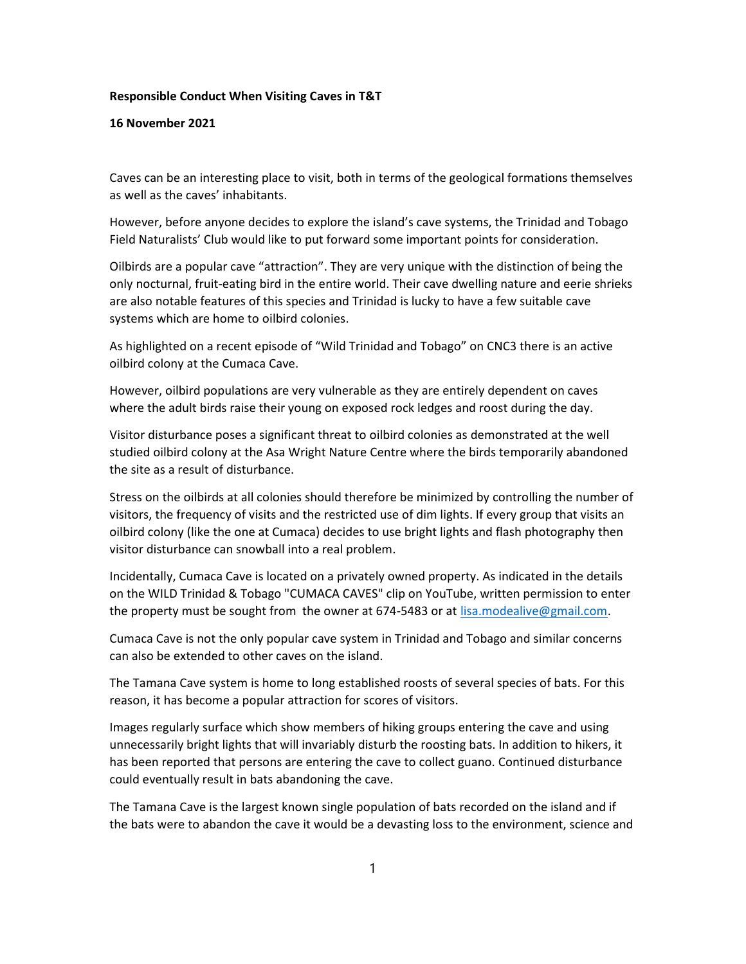## Responsible Conduct When Visiting Caves in T&T

## 16 November 2021

Caves can be an interesting place to visit, both in terms of the geological formations themselves as well as the caves' inhabitants.

However, before anyone decides to explore the island's cave systems, the Trinidad and Tobago Field Naturalists' Club would like to put forward some important points for consideration.

Oilbirds are a popular cave "attraction". They are very unique with the distinction of being the only nocturnal, fruit-eating bird in the entire world. Their cave dwelling nature and eerie shrieks are also notable features of this species and Trinidad is lucky to have a few suitable cave systems which are home to oilbird colonies.

As highlighted on a recent episode of "Wild Trinidad and Tobago" on CNC3 there is an active oilbird colony at the Cumaca Cave.

However, oilbird populations are very vulnerable as they are entirely dependent on caves where the adult birds raise their young on exposed rock ledges and roost during the day.

Visitor disturbance poses a significant threat to oilbird colonies as demonstrated at the well studied oilbird colony at the Asa Wright Nature Centre where the birds temporarily abandoned the site as a result of disturbance.

Stress on the oilbirds at all colonies should therefore be minimized by controlling the number of visitors, the frequency of visits and the restricted use of dim lights. If every group that visits an oilbird colony (like the one at Cumaca) decides to use bright lights and flash photography then visitor disturbance can snowball into a real problem.

Incidentally, Cumaca Cave is located on a privately owned property. As indicated in the details on the WILD Trinidad & Tobago "CUMACA CAVES" clip on YouTube, written permission to enter the property must be sought from the owner at 674-5483 or at lisa.modealive@gmail.com.

Cumaca Cave is not the only popular cave system in Trinidad and Tobago and similar concerns can also be extended to other caves on the island.

The Tamana Cave system is home to long established roosts of several species of bats. For this reason, it has become a popular attraction for scores of visitors.

Images regularly surface which show members of hiking groups entering the cave and using unnecessarily bright lights that will invariably disturb the roosting bats. In addition to hikers, it has been reported that persons are entering the cave to collect guano. Continued disturbance could eventually result in bats abandoning the cave.

The Tamana Cave is the largest known single population of bats recorded on the island and if the bats were to abandon the cave it would be a devasting loss to the environment, science and